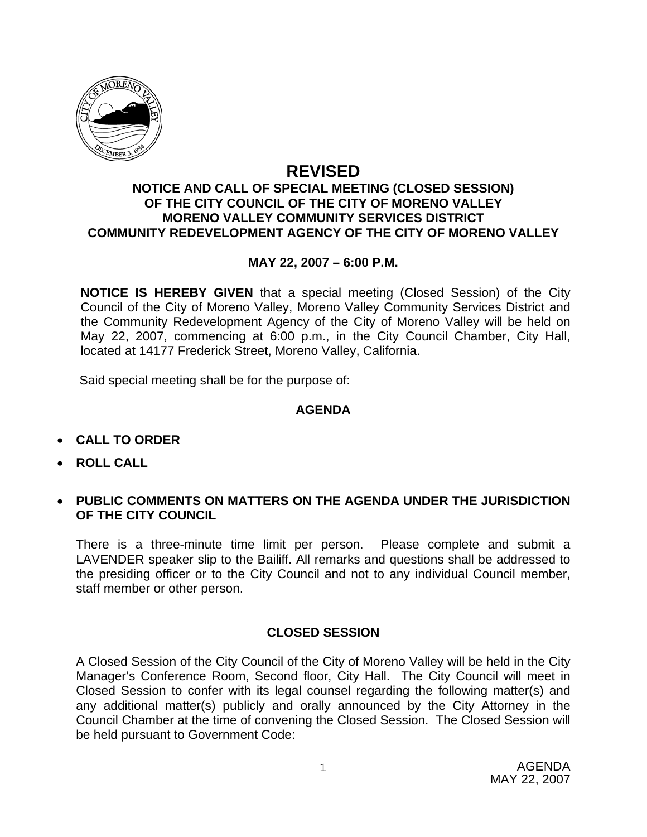

# **REVISED**

#### **NOTICE AND CALL OF SPECIAL MEETING (CLOSED SESSION) OF THE CITY COUNCIL OF THE CITY OF MORENO VALLEY MORENO VALLEY COMMUNITY SERVICES DISTRICT COMMUNITY REDEVELOPMENT AGENCY OF THE CITY OF MORENO VALLEY**

### **MAY 22, 2007 – 6:00 P.M.**

**NOTICE IS HEREBY GIVEN** that a special meeting (Closed Session) of the City Council of the City of Moreno Valley, Moreno Valley Community Services District and the Community Redevelopment Agency of the City of Moreno Valley will be held on May 22, 2007, commencing at 6:00 p.m., in the City Council Chamber, City Hall, located at 14177 Frederick Street, Moreno Valley, California.

Said special meeting shall be for the purpose of:

### **AGENDA**

- **CALL TO ORDER**
- **ROLL CALL**
- **PUBLIC COMMENTS ON MATTERS ON THE AGENDA UNDER THE JURISDICTION OF THE CITY COUNCIL**

There is a three-minute time limit per person. Please complete and submit a LAVENDER speaker slip to the Bailiff. All remarks and questions shall be addressed to the presiding officer or to the City Council and not to any individual Council member, staff member or other person.

## **CLOSED SESSION**

A Closed Session of the City Council of the City of Moreno Valley will be held in the City Manager's Conference Room, Second floor, City Hall. The City Council will meet in Closed Session to confer with its legal counsel regarding the following matter(s) and any additional matter(s) publicly and orally announced by the City Attorney in the Council Chamber at the time of convening the Closed Session. The Closed Session will be held pursuant to Government Code: